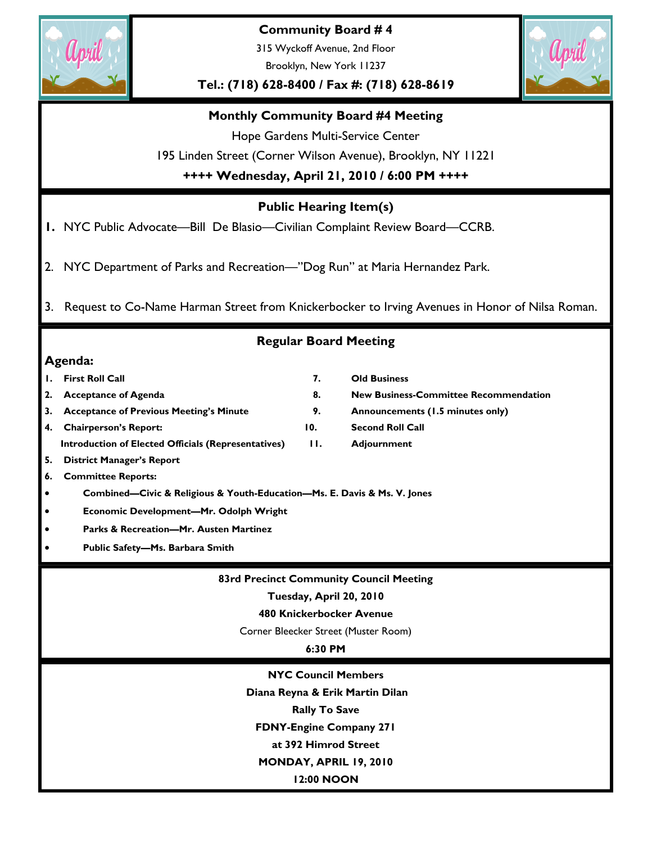

**Community Board # 4** 

315 Wyckoff Avenue, 2nd Floor Brooklyn, New York 11237

**Tel.: (718) 628-8400 / Fax #: (718) 628-8619** 



# **Monthly Community Board #4 Meeting**

Hope Gardens Multi-Service Center

195 Linden Street (Corner Wilson Avenue), Brooklyn, NY 11221

**++++ Wednesday, April 21, 2010 / 6:00 PM ++++** 

# **Public Hearing Item(s)**

**1.** NYC Public Advocate—Bill De Blasio—Civilian Complaint Review Board—CCRB.

- 2. NYC Department of Parks and Recreation—"Dog Run" at Maria Hernandez Park.
- 3. Request to Co-Name Harman Street from Knickerbocker to Irving Avenues in Honor of Nilsa Roman.

# **Regular Board Meeting**

# **Agenda:**

|    | <b>First Roll Call</b>                                                   | 7.                | <b>Old Business</b>                            |  |  |  |  |
|----|--------------------------------------------------------------------------|-------------------|------------------------------------------------|--|--|--|--|
| 2. | <b>Acceptance of Agenda</b>                                              | 8.                | <b>New Business-Committee Recommendation</b>   |  |  |  |  |
| 3. | <b>Acceptance of Previous Meeting's Minute</b>                           | 9.                | Announcements (1.5 minutes only)               |  |  |  |  |
| 4. | <b>Chairperson's Report:</b>                                             | 10.               | <b>Second Roll Call</b>                        |  |  |  |  |
|    | Introduction of Elected Officials (Representatives)                      | $\Pi$ .           | <b>Adjournment</b>                             |  |  |  |  |
| 5. | <b>District Manager's Report</b>                                         |                   |                                                |  |  |  |  |
| 6. | <b>Committee Reports:</b>                                                |                   |                                                |  |  |  |  |
| ٠  | Combined—Civic & Religious & Youth-Education—Ms. E. Davis & Ms. V. Jones |                   |                                                |  |  |  |  |
|    | Economic Development-Mr. Odolph Wright                                   |                   |                                                |  |  |  |  |
|    | <b>Parks &amp; Recreation-Mr. Austen Martinez</b>                        |                   |                                                |  |  |  |  |
|    | Public Safety-Ms. Barbara Smith                                          |                   |                                                |  |  |  |  |
|    |                                                                          |                   |                                                |  |  |  |  |
|    |                                                                          |                   | <b>83rd Precinct Community Council Meeting</b> |  |  |  |  |
|    | Tuesday, April 20, 2010                                                  |                   |                                                |  |  |  |  |
|    | <b>480 Knickerbocker Avenue</b>                                          |                   |                                                |  |  |  |  |
|    | Corner Bleecker Street (Muster Room)                                     |                   |                                                |  |  |  |  |
|    | 6:30 PM                                                                  |                   |                                                |  |  |  |  |
|    |                                                                          |                   |                                                |  |  |  |  |
|    | <b>NYC Council Members</b>                                               |                   |                                                |  |  |  |  |
|    | Diana Reyna & Erik Martin Dilan                                          |                   |                                                |  |  |  |  |
|    | <b>Rally To Save</b>                                                     |                   |                                                |  |  |  |  |
|    | <b>FDNY-Engine Company 271</b>                                           |                   |                                                |  |  |  |  |
|    | at 392 Himrod Street                                                     |                   |                                                |  |  |  |  |
|    | MONDAY, APRIL 19, 2010                                                   |                   |                                                |  |  |  |  |
|    |                                                                          | <b>12:00 NOON</b> |                                                |  |  |  |  |
|    |                                                                          |                   |                                                |  |  |  |  |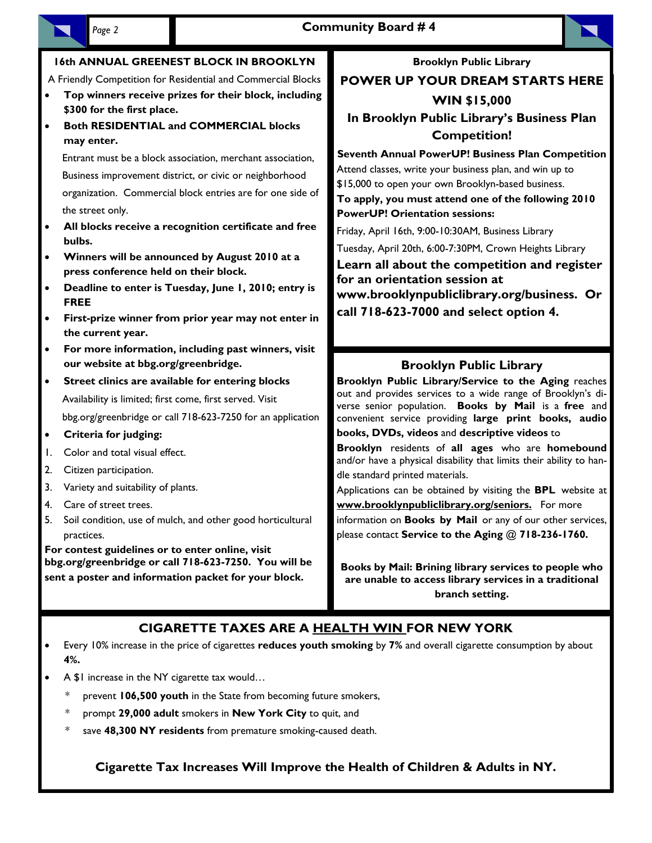

### **16th ANNUAL GREENEST BLOCK IN BROOKLYN**

A Friendly Competition for Residential and Commercial Blocks

- **Top winners receive prizes for their block, including \$300 for the first place.**
- **Both RESIDENTIAL and COMMERCIAL blocks may enter.**

Entrant must be a block association, merchant association, Business improvement district, or civic or neighborhood organization. Commercial block entries are for one side of the street only.

- **All blocks receive a recognition certificate and free bulbs.**
- **Winners will be announced by August 2010 at a press conference held on their block.**
- **Deadline to enter is Tuesday, June 1, 2010; entry is FREE**
- **First-prize winner from prior year may not enter in the current year.**
- **For more information, including past winners, visit our website at bbg.org/greenbridge.**
- **Street clinics are available for entering blocks** Availability is limited; first come, first served. Visit bbg.org/greenbridge or call 718-623-7250 for an application
- **Criteria for judging:**
- 1. Color and total visual effect.
- 2. Citizen participation.
- 3. Variety and suitability of plants.
- 4. Care of street trees.
- 5. Soil condition, use of mulch, and other good horticultural practices.

**For contest guidelines or to enter online, visit bbg.org/greenbridge or call 718-623-7250. You will be sent a poster and information packet for your block.** 

**Brooklyn Public Library** 

**POWER UP YOUR DREAM STARTS HERE WIN \$15,000** 

**In Brooklyn Public Library's Business Plan Competition!** 

**Seventh Annual PowerUP! Business Plan Competition**  Attend classes, write your business plan, and win up to

\$15,000 to open your own Brooklyn-based business. **To apply, you must attend one of the following 2010 PowerUP! Orientation sessions:** 

Friday, April 16th, 9:00-10:30AM, Business Library

Tuesday, April 20th, 6:00-7:30PM, Crown Heights Library

**Learn all about the competition and register for an orientation session at www.brooklynpubliclibrary.org/business. Or call 718-623-7000 and select option 4.** 

# **Brooklyn Public Library**

**Brooklyn Public Library/Service to the Aging** reaches out and provides services to a wide range of Brooklyn's diverse senior population. **Books by Mail** is a **free** and convenient service providing **large print books, audio** 

**books, DVDs, videos** and **descriptive videos** to

**Brooklyn** residents of **all ages** who are **homebound**  and/or have a physical disability that limits their ability to handle standard printed materials.

Applications can be obtained by visiting the **BPL** website at **www.brooklynpubliclibrary.org/seniors.** For more

information on **Books by Mail** or any of our other services, please contact **Service to the Aging** @ **718-236-1760.** 

**Books by Mail: Brining library services to people who are unable to access library services in a traditional branch setting.** 

# **CIGARETTE TAXES ARE A HEALTH WIN FOR NEW YORK**

- Every 10% increase in the price of cigarettes **reduces youth smoking** by **7%** and overall cigarette consumption by about **4%.**
- A \$1 increase in the NY cigarette tax would...
	- prevent **106,500 youth** in the State from becoming future smokers,
	- \* prompt **29,000 adult** smokers in **New York City** to quit, and
	- save 48,300 NY residents from premature smoking-caused death.

**Cigarette Tax Increases Will Improve the Health of Children & Adults in NY.**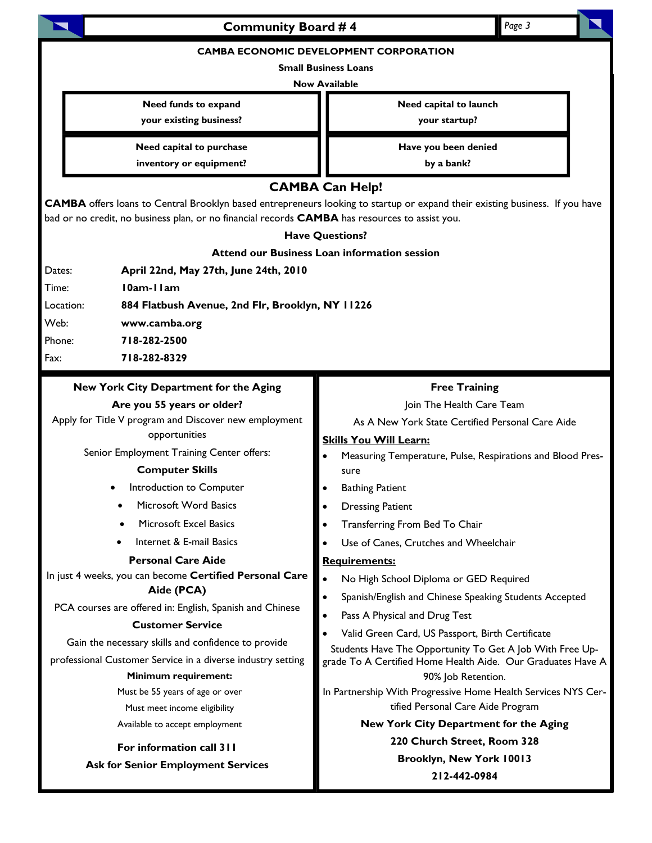| Page 3<br><b>Community Board #4</b>                                                                                                                                                                                                                                                                                                                                                                                                                                                                                                                                                                                                                                         |                                                                                                                                                                                                                                                                                                                                                                                                                                                                                                                                                                                                                                                                                                                                                       |  |  |  |  |  |
|-----------------------------------------------------------------------------------------------------------------------------------------------------------------------------------------------------------------------------------------------------------------------------------------------------------------------------------------------------------------------------------------------------------------------------------------------------------------------------------------------------------------------------------------------------------------------------------------------------------------------------------------------------------------------------|-------------------------------------------------------------------------------------------------------------------------------------------------------------------------------------------------------------------------------------------------------------------------------------------------------------------------------------------------------------------------------------------------------------------------------------------------------------------------------------------------------------------------------------------------------------------------------------------------------------------------------------------------------------------------------------------------------------------------------------------------------|--|--|--|--|--|
| <b>CAMBA ECONOMIC DEVELOPMENT CORPORATION</b><br><b>Small Business Loans</b><br><b>Now Available</b>                                                                                                                                                                                                                                                                                                                                                                                                                                                                                                                                                                        |                                                                                                                                                                                                                                                                                                                                                                                                                                                                                                                                                                                                                                                                                                                                                       |  |  |  |  |  |
| Need funds to expand<br>your existing business?                                                                                                                                                                                                                                                                                                                                                                                                                                                                                                                                                                                                                             | Need capital to launch<br>your startup?                                                                                                                                                                                                                                                                                                                                                                                                                                                                                                                                                                                                                                                                                                               |  |  |  |  |  |
| Need capital to purchase<br>inventory or equipment?                                                                                                                                                                                                                                                                                                                                                                                                                                                                                                                                                                                                                         | Have you been denied<br>by a bank?                                                                                                                                                                                                                                                                                                                                                                                                                                                                                                                                                                                                                                                                                                                    |  |  |  |  |  |
| <b>CAMBA Can Help!</b><br>CAMBA offers loans to Central Brooklyn based entrepreneurs looking to startup or expand their existing business. If you have<br>bad or no credit, no business plan, or no financial records <b>CAMBA</b> has resources to assist you.<br><b>Have Questions?</b><br><b>Attend our Business Loan information session</b><br>April 22nd, May 27th, June 24th, 2010<br>Dates:<br>10am-11am<br>Time:<br>Location:<br>884 Flatbush Avenue, 2nd Flr, Brooklyn, NY 11226<br>Web:<br>www.camba.org<br>718-282-2500<br>Phone:<br>718-282-8329<br>Fax:                                                                                                       |                                                                                                                                                                                                                                                                                                                                                                                                                                                                                                                                                                                                                                                                                                                                                       |  |  |  |  |  |
| New York City Department for the Aging<br>Are you 55 years or older?<br>Apply for Title V program and Discover new employment<br>opportunities<br>Senior Employment Training Center offers:<br><b>Computer Skills</b><br>Introduction to Computer<br>Microsoft Word Basics<br>Microsoft Excel Basics<br>Internet & E-mail Basics<br><b>Personal Care Aide</b><br>In just 4 weeks, you can become Certified Personal Care<br>Aide (PCA)<br>PCA courses are offered in: English, Spanish and Chinese<br><b>Customer Service</b><br>Gain the necessary skills and confidence to provide<br>professional Customer Service in a diverse industry setting<br>Minimum requirement: | <b>Free Training</b><br>Join The Health Care Team<br>As A New York State Certified Personal Care Aide<br><b>Skills You Will Learn:</b><br>Measuring Temperature, Pulse, Respirations and Blood Pres-<br>sure<br><b>Bathing Patient</b><br><b>Dressing Patient</b><br>Transferring From Bed To Chair<br>Use of Canes, Crutches and Wheelchair<br><b>Requirements:</b><br>No High School Diploma or GED Required<br>$\bullet$<br>Spanish/English and Chinese Speaking Students Accepted<br>$\bullet$<br>$\bullet$<br>Pass A Physical and Drug Test<br>Valid Green Card, US Passport, Birth Certificate<br>Students Have The Opportunity To Get A Job With Free Up-<br>grade To A Certified Home Health Aide. Our Graduates Have A<br>90% Job Retention. |  |  |  |  |  |
| Must be 55 years of age or over<br>Must meet income eligibility<br>Available to accept employment<br>For information call 311<br><b>Ask for Senior Employment Services</b>                                                                                                                                                                                                                                                                                                                                                                                                                                                                                                  | In Partnership With Progressive Home Health Services NYS Cer-<br>tified Personal Care Aide Program<br>New York City Department for the Aging<br>220 Church Street, Room 328<br>Brooklyn, New York 10013<br>212-442-0984                                                                                                                                                                                                                                                                                                                                                                                                                                                                                                                               |  |  |  |  |  |